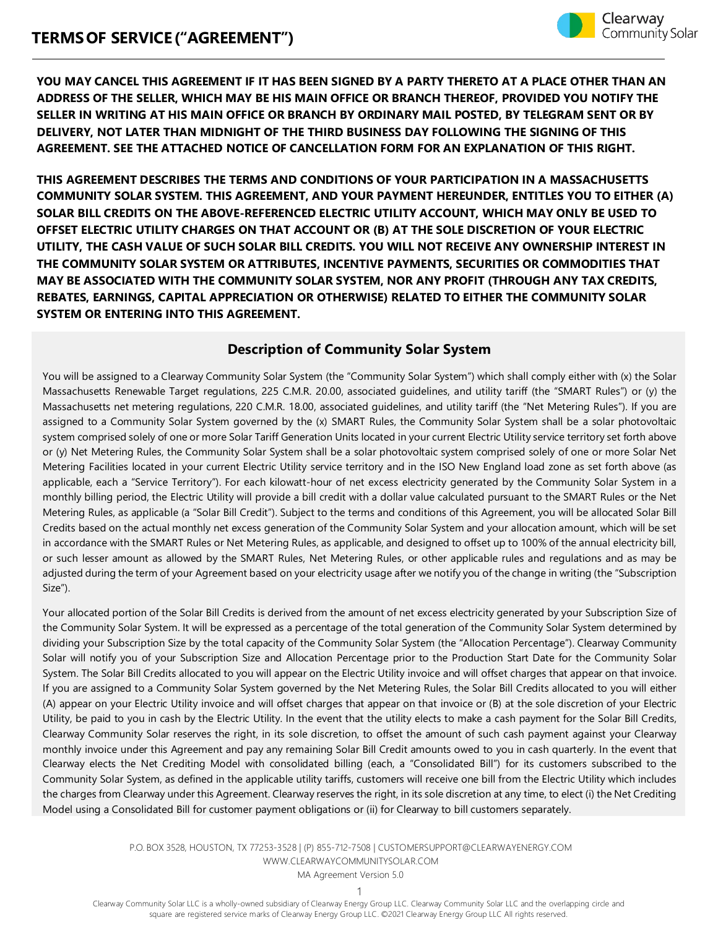

**YOU MAY CANCEL THIS AGREEMENT IF IT HAS BEEN SIGNED BY A PARTY THERETO AT A PLACE OTHER THAN AN ADDRESS OF THE SELLER, WHICH MAY BE HIS MAIN OFFICE OR BRANCH THEREOF, PROVIDED YOU NOTIFY THE SELLER IN WRITING AT HIS MAIN OFFICE OR BRANCH BY ORDINARY MAIL POSTED, BY TELEGRAM SENT OR BY DELIVERY, NOT LATER THAN MIDNIGHT OF THE THIRD BUSINESS DAY FOLLOWING THE SIGNING OF THIS AGREEMENT. SEE THE ATTACHED NOTICE OF CANCELLATION FORM FOR AN EXPLANATION OF THIS RIGHT.**

**THIS AGREEMENT DESCRIBES THE TERMS AND CONDITIONS OF YOUR PARTICIPATION IN A MASSACHUSETTS COMMUNITY SOLAR SYSTEM. THIS AGREEMENT, AND YOUR PAYMENT HEREUNDER, ENTITLES YOU TO EITHER (A) SOLAR BILL CREDITS ON THE ABOVE-REFERENCED ELECTRIC UTILITY ACCOUNT, WHICH MAY ONLY BE USED TO OFFSET ELECTRIC UTILITY CHARGES ON THAT ACCOUNT OR (B) AT THE SOLE DISCRETION OF YOUR ELECTRIC UTILITY, THE CASH VALUE OF SUCH SOLAR BILL CREDITS. YOU WILL NOT RECEIVE ANY OWNERSHIP INTEREST IN THE COMMUNITY SOLAR SYSTEM OR ATTRIBUTES, INCENTIVE PAYMENTS, SECURITIES OR COMMODITIES THAT MAY BE ASSOCIATED WITH THE COMMUNITY SOLAR SYSTEM, NOR ANY PROFIT (THROUGH ANY TAX CREDITS, REBATES, EARNINGS, CAPITAL APPRECIATION OR OTHERWISE) RELATED TO EITHER THE COMMUNITY SOLAR SYSTEM OR ENTERING INTO THIS AGREEMENT.**

# **Description of Community Solar System**

You will be assigned to a Clearway Community Solar System (the "Community Solar System") which shall comply either with (x) the Solar Massachusetts Renewable Target regulations, 225 C.M.R. 20.00, associated guidelines, and utility tariff (the "SMART Rules") or (y) the Massachusetts net metering regulations, 220 C.M.R. 18.00, associated guidelines, and utility tariff (the "Net Metering Rules"). If you are assigned to a Community Solar System governed by the (x) SMART Rules, the Community Solar System shall be a solar photovoltaic system comprised solely of one or more Solar Tariff Generation Units located in your current Electric Utility service territory set forth above or (y) Net Metering Rules, the Community Solar System shall be a solar photovoltaic system comprised solely of one or more Solar Net Metering Facilities located in your current Electric Utility service territory and in the ISO New England load zone as set forth above (as applicable, each a "Service Territory"). For each kilowatt-hour of net excess electricity generated by the Community Solar System in a monthly billing period, the Electric Utility will provide a bill credit with a dollar value calculated pursuant to the SMART Rules or the Net Metering Rules, as applicable (a "Solar Bill Credit"). Subject to the terms and conditions of this Agreement, you will be allocated Solar Bill Credits based on the actual monthly net excess generation of the Community Solar System and your allocation amount, which will be set in accordance with the SMART Rules or Net Metering Rules, as applicable, and designed to offset up to 100% of the annual electricity bill, or such lesser amount as allowed by the SMART Rules, Net Metering Rules, or other applicable rules and regulations and as may be adjusted during the term of your Agreement based on your electricity usage after we notify you of the change in writing (the "Subscription Size").

Your allocated portion of the Solar Bill Credits is derived from the amount of net excess electricity generated by your Subscription Size of the Community Solar System. It will be expressed as a percentage of the total generation of the Community Solar System determined by dividing your Subscription Size by the total capacity of the Community Solar System (the "Allocation Percentage"). Clearway Community Solar will notify you of your Subscription Size and Allocation Percentage prior to the Production Start Date for the Community Solar System. The Solar Bill Credits allocated to you will appear on the Electric Utility invoice and will offset charges that appear on that invoice. If you are assigned to a Community Solar System governed by the Net Metering Rules, the Solar Bill Credits allocated to you will either (A) appear on your Electric Utility invoice and will offset charges that appear on that invoice or (B) at the sole discretion of your Electric Utility, be paid to you in cash by the Electric Utility. In the event that the utility elects to make a cash payment for the Solar Bill Credits, Clearway Community Solar reserves the right, in its sole discretion, to offset the amount of such cash payment against your Clearway monthly invoice under this Agreement and pay any remaining Solar Bill Credit amounts owed to you in cash quarterly. In the event that Clearway elects the Net Crediting Model with consolidated billing (each, a "Consolidated Bill") for its customers subscribed to the Community Solar System, as defined in the applicable utility tariffs, customers will receive one bill from the Electric Utility which includes the charges from Clearway under this Agreement. Clearway reserves the right, in its sole discretion at any time, to elect (i) the Net Crediting Model using a Consolidated Bill for customer payment obligations or (ii) for Clearway to bill customers separately.

> P.O. BOX 3528, HOUSTON, TX 77253-3528 | (P) 855-712-7508 [| CUSTOMERSUPPORT@CLEARWAYENERGY.COM](mailto:CUSTOMERSUPPORT@CLEARWAYENERGY.COM) [WWW.CLEARWAYCOMMUNITYSOLAR.COM](http://www.clearwaycommunitysolar.com/)

MA Agreement Version 5.0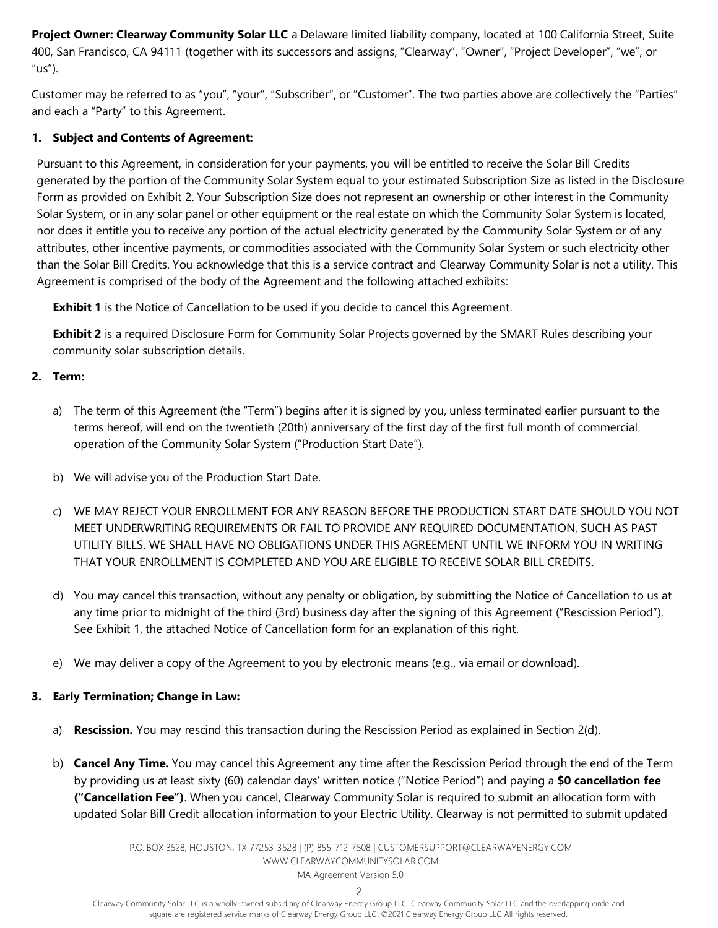**Project Owner: Clearway Community Solar LLC** a Delaware limited liability company, located at 100 California Street, Suite 400, San Francisco, CA 94111 (together with its successors and assigns, "Clearway", "Owner", "Project Developer", "we", or "us").

Customer may be referred to as "you", "your", "Subscriber", or "Customer". The two parties above are collectively the "Parties" and each a "Party" to this Agreement.

## **1. Subject and Contents of Agreement:**

Pursuant to this Agreement, in consideration for your payments, you will be entitled to receive the Solar Bill Credits generated by the portion of the Community Solar System equal to your estimated Subscription Size as listed in the Disclosure Form as provided on Exhibit 2. Your Subscription Size does not represent an ownership or other interest in the Community Solar System, or in any solar panel or other equipment or the real estate on which the Community Solar System is located, nor does it entitle you to receive any portion of the actual electricity generated by the Community Solar System or of any attributes, other incentive payments, or commodities associated with the Community Solar System or such electricity other than the Solar Bill Credits. You acknowledge that this is a service contract and Clearway Community Solar is not a utility. This Agreement is comprised of the body of the Agreement and the following attached exhibits:

**Exhibit 1** is the Notice of Cancellation to be used if you decide to cancel this Agreement.

**Exhibit 2** is a required Disclosure Form for Community Solar Projects governed by the SMART Rules describing your community solar subscription details.

# **2. Term:**

- a) The term of this Agreement (the "Term") begins after it is signed by you, unless terminated earlier pursuant to the terms hereof, will end on the twentieth (20th) anniversary of the first day of the first full month of commercial operation of the Community Solar System ("Production Start Date").
- b) We will advise you of the Production Start Date.
- c) WE MAY REJECT YOUR ENROLLMENT FOR ANY REASON BEFORE THE PRODUCTION START DATE SHOULD YOU NOT MEET UNDERWRITING REQUIREMENTS OR FAIL TO PROVIDE ANY REQUIRED DOCUMENTATION, SUCH AS PAST UTILITY BILLS. WE SHALL HAVE NO OBLIGATIONS UNDER THIS AGREEMENT UNTIL WE INFORM YOU IN WRITING THAT YOUR ENROLLMENT IS COMPLETED AND YOU ARE ELIGIBLE TO RECEIVE SOLAR BILL CREDITS.
- d) You may cancel this transaction, without any penalty or obligation, by submitting the Notice of Cancellation to us at any time prior to midnight of the third (3rd) business day after the signing of this Agreement ("Rescission Period"). See Exhibit 1, the attached Notice of Cancellation form for an explanation of this right.
- e) We may deliver a copy of the Agreement to you by electronic means (e.g., via email or download).

# **3. Early Termination; Change in Law:**

- a) **Rescission.** You may rescind this transaction during the Rescission Period as explained in Section 2(d).
- b) **Cancel Any Time.** You may cancel this Agreement any time after the Rescission Period through the end of the Term by providing us at least sixty (60) calendar days' written notice ("Notice Period") and paying a **\$0 cancellation fee ("Cancellation Fee")**. When you cancel, Clearway Community Solar is required to submit an allocation form with updated Solar Bill Credit allocation information to your Electric Utility. Clearway is not permitted to submit updated

P.O. BOX 3528, HOUSTON, TX 77253-3528 | (P) 855-712-7508 [| CUSTOMERSUPPORT@CLEARWAYENERGY.COM](mailto:CUSTOMERSUPPORT@CLEARWAYENERGY.COM) [WWW.CLEARWAYCOMMUNITYSOLAR.COM](http://www.clearwaycommunitysolar.com/) MA Agreement Version 5.0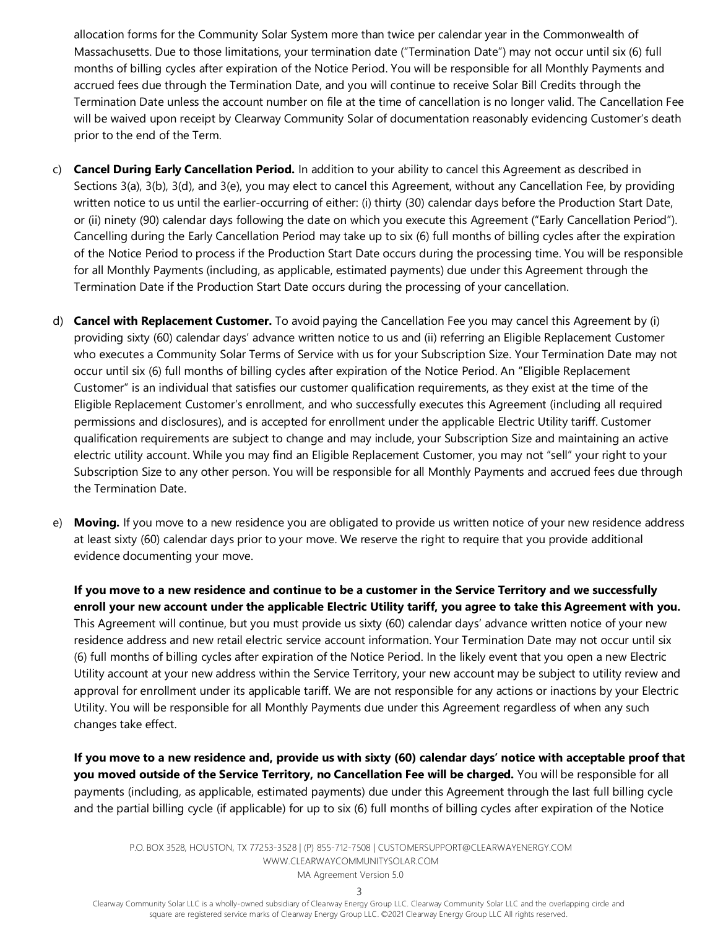allocation forms for the Community Solar System more than twice per calendar year in the Commonwealth of Massachusetts. Due to those limitations, your termination date ("Termination Date") may not occur until six (6) full months of billing cycles after expiration of the Notice Period. You will be responsible for all Monthly Payments and accrued fees due through the Termination Date, and you will continue to receive Solar Bill Credits through the Termination Date unless the account number on file at the time of cancellation is no longer valid. The Cancellation Fee will be waived upon receipt by Clearway Community Solar of documentation reasonably evidencing Customer's death prior to the end of the Term.

- c) **Cancel During Early Cancellation Period.** In addition to your ability to cancel this Agreement as described in Sections 3(a), 3(b), 3(d), and 3(e), you may elect to cancel this Agreement, without any Cancellation Fee, by providing written notice to us until the earlier-occurring of either: (i) thirty (30) calendar days before the Production Start Date, or (ii) ninety (90) calendar days following the date on which you execute this Agreement ("Early Cancellation Period"). Cancelling during the Early Cancellation Period may take up to six (6) full months of billing cycles after the expiration of the Notice Period to process if the Production Start Date occurs during the processing time. You will be responsible for all Monthly Payments (including, as applicable, estimated payments) due under this Agreement through the Termination Date if the Production Start Date occurs during the processing of your cancellation.
- d) **Cancel with Replacement Customer.** To avoid paying the Cancellation Fee you may cancel this Agreement by (i) providing sixty (60) calendar days' advance written notice to us and (ii) referring an Eligible Replacement Customer who executes a Community Solar Terms of Service with us for your Subscription Size. Your Termination Date may not occur until six (6) full months of billing cycles after expiration of the Notice Period. An "Eligible Replacement Customer" is an individual that satisfies our customer qualification requirements, as they exist at the time of the Eligible Replacement Customer's enrollment, and who successfully executes this Agreement (including all required permissions and disclosures), and is accepted for enrollment under the applicable Electric Utility tariff. Customer qualification requirements are subject to change and may include, your Subscription Size and maintaining an active electric utility account. While you may find an Eligible Replacement Customer, you may not "sell" your right to your Subscription Size to any other person. You will be responsible for all Monthly Payments and accrued fees due through the Termination Date.
- e) **Moving.** If you move to a new residence you are obligated to provide us written notice of your new residence address at least sixty (60) calendar days prior to your move. We reserve the right to require that you provide additional evidence documenting your move.

**If you move to a new residence and continue to be a customer in the Service Territory and we successfully enroll your new account under the applicable Electric Utility tariff, you agree to take this Agreement with you.** This Agreement will continue, but you must provide us sixty (60) calendar days' advance written notice of your new residence address and new retail electric service account information. Your Termination Date may not occur until six (6) full months of billing cycles after expiration of the Notice Period. In the likely event that you open a new Electric Utility account at your new address within the Service Territory, your new account may be subject to utility review and approval for enrollment under its applicable tariff. We are not responsible for any actions or inactions by your Electric Utility. You will be responsible for all Monthly Payments due under this Agreement regardless of when any such changes take effect.

**If you move to a new residence and, provide us with sixty (60) calendar days' notice with acceptable proof that you moved outside of the Service Territory, no Cancellation Fee will be charged.** You will be responsible for all payments (including, as applicable, estimated payments) due under this Agreement through the last full billing cycle and the partial billing cycle (if applicable) for up to six (6) full months of billing cycles after expiration of the Notice

P.O. BOX 3528, HOUSTON, TX 77253-3528 | (P) 855-712-7508 [| CUSTOMERSUPPORT@CLEARWAYENERGY.COM](mailto:CUSTOMERSUPPORT@CLEARWAYENERGY.COM) [WWW.CLEARWAYCOMMUNITYSOLAR.COM](http://www.clearwaycommunitysolar.com/) MA Agreement Version 5.0

3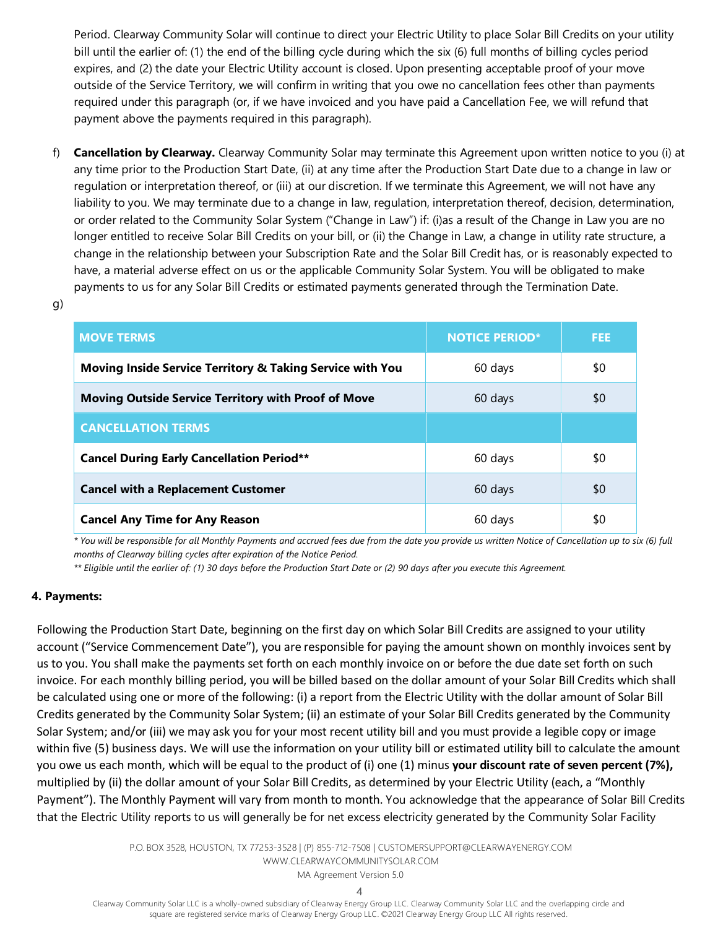Period. Clearway Community Solar will continue to direct your Electric Utility to place Solar Bill Credits on your utility bill until the earlier of: (1) the end of the billing cycle during which the six (6) full months of billing cycles period expires, and (2) the date your Electric Utility account is closed. Upon presenting acceptable proof of your move outside of the Service Territory, we will confirm in writing that you owe no cancellation fees other than payments required under this paragraph (or, if we have invoiced and you have paid a Cancellation Fee, we will refund that payment above the payments required in this paragraph).

f) **Cancellation by Clearway.** Clearway Community Solar may terminate this Agreement upon written notice to you (i) at any time prior to the Production Start Date, (ii) at any time after the Production Start Date due to a change in law or regulation or interpretation thereof, or (iii) at our discretion. If we terminate this Agreement, we will not have any liability to you. We may terminate due to a change in law, regulation, interpretation thereof, decision, determination, or order related to the Community Solar System ("Change in Law") if: (i)as a result of the Change in Law you are no longer entitled to receive Solar Bill Credits on your bill, or (ii) the Change in Law, a change in utility rate structure, a change in the relationship between your Subscription Rate and the Solar Bill Credit has, or is reasonably expected to have, a material adverse effect on us or the applicable Community Solar System. You will be obligated to make payments to us for any Solar Bill Credits or estimated payments generated through the Termination Date.

| ۰,            |          |
|---------------|----------|
| ٠             |          |
| ۰.<br>×<br>۰. | ۰.<br>۰, |

| <b>MOVE TERMS</b>                                                    | <b>NOTICE PERIOD*</b> | <b>FEE</b> |
|----------------------------------------------------------------------|-----------------------|------------|
| <b>Moving Inside Service Territory &amp; Taking Service with You</b> | 60 days               | \$0        |
| <b>Moving Outside Service Territory with Proof of Move</b>           | 60 days               | \$0        |
| <b>CANCELLATION TERMS</b>                                            |                       |            |
| <b>Cancel During Early Cancellation Period**</b>                     | 60 days               | \$0        |
| <b>Cancel with a Replacement Customer</b>                            | 60 days               | \$0        |
| <b>Cancel Any Time for Any Reason</b>                                | 60 days               | \$0        |

*\* You will be responsible for all Monthly Payments and accrued fees due from the date you provide us written Notice of Cancellation up to six (6) full months of Clearway billing cycles after expiration of the Notice Period.*

*\*\* Eligible until the earlier of: (1) 30 days before the Production Start Date or (2) 90 days after you execute this Agreement.*

#### **4. Payments:**

Following the Production Start Date, beginning on the first day on which Solar Bill Credits are assigned to your utility account ("Service Commencement Date"), you are responsible for paying the amount shown on monthly invoices sent by us to you. You shall make the payments set forth on each monthly invoice on or before the due date set forth on such invoice. For each monthly billing period, you will be billed based on the dollar amount of your Solar Bill Credits which shall be calculated using one or more of the following: (i) a report from the Electric Utility with the dollar amount of Solar Bill Credits generated by the Community Solar System; (ii) an estimate of your Solar Bill Credits generated by the Community Solar System; and/or (iii) we may ask you for your most recent utility bill and you must provide a legible copy or image within five (5) business days. We will use the information on your utility bill or estimated utility bill to calculate the amount you owe us each month, which will be equal to the product of (i) one (1) minus **your discount rate of seven percent (7%),** multiplied by (ii) the dollar amount of your Solar Bill Credits, as determined by your Electric Utility (each, a "Monthly Payment"). The Monthly Payment will vary from month to month. You acknowledge that the appearance of Solar Bill Credits that the Electric Utility reports to us will generally be for net excess electricity generated by the Community Solar Facility

> P.O. BOX 3528, HOUSTON, TX 77253-3528 | (P) 855-712-7508 [| CUSTOMERSUPPORT@CLEARWAYENERGY.COM](mailto:CUSTOMERSUPPORT@CLEARWAYENERGY.COM) [WWW.CLEARWAYCOMMUNITYSOLAR.COM](http://www.clearwaycommunitysolar.com/) MA Agreement Version 5.0

> > 4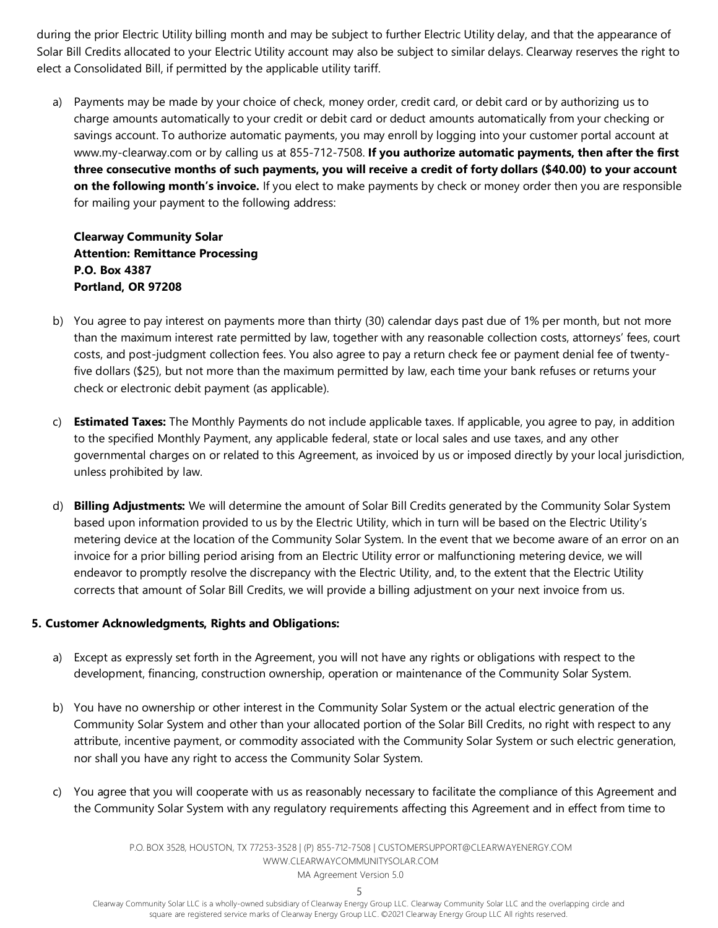during the prior Electric Utility billing month and may be subject to further Electric Utility delay, and that the appearance of Solar Bill Credits allocated to your Electric Utility account may also be subject to similar delays. Clearway reserves the right to elect a Consolidated Bill, if permitted by the applicable utility tariff.

a) Payments may be made by your choice of check, money order, credit card, or debit card or by authorizing us to charge amounts automatically to your credit or debit card or deduct amounts automatically from your checking or savings account. To authorize automatic payments, you may enroll by logging into your customer portal account at www.my-clearway.com or by calling us at 855-712-7508. **If you authorize automatic payments, then after the first three consecutive months of such payments, you will receive a credit of forty dollars (\$40.00) to your account on the following month's invoice.** If you elect to make payments by check or money order then you are responsible for mailing your payment to the following address:

**Clearway Community Solar Attention: Remittance Processing P.O. Box 4387 Portland, OR 97208**

- b) You agree to pay interest on payments more than thirty (30) calendar days past due of 1% per month, but not more than the maximum interest rate permitted by law, together with any reasonable collection costs, attorneys' fees, court costs, and post-judgment collection fees. You also agree to pay a return check fee or payment denial fee of twentyfive dollars (\$25), but not more than the maximum permitted by law, each time your bank refuses or returns your check or electronic debit payment (as applicable).
- c) **Estimated Taxes:** The Monthly Payments do not include applicable taxes. If applicable, you agree to pay, in addition to the specified Monthly Payment, any applicable federal, state or local sales and use taxes, and any other governmental charges on or related to this Agreement, as invoiced by us or imposed directly by your local jurisdiction, unless prohibited by law.
- d) **Billing Adjustments:** We will determine the amount of Solar Bill Credits generated by the Community Solar System based upon information provided to us by the Electric Utility, which in turn will be based on the Electric Utility's metering device at the location of the Community Solar System. In the event that we become aware of an error on an invoice for a prior billing period arising from an Electric Utility error or malfunctioning metering device, we will endeavor to promptly resolve the discrepancy with the Electric Utility, and, to the extent that the Electric Utility corrects that amount of Solar Bill Credits, we will provide a billing adjustment on your next invoice from us.

#### **5. Customer Acknowledgments, Rights and Obligations:**

- a) Except as expressly set forth in the Agreement, you will not have any rights or obligations with respect to the development, financing, construction ownership, operation or maintenance of the Community Solar System.
- b) You have no ownership or other interest in the Community Solar System or the actual electric generation of the Community Solar System and other than your allocated portion of the Solar Bill Credits, no right with respect to any attribute, incentive payment, or commodity associated with the Community Solar System or such electric generation, nor shall you have any right to access the Community Solar System.
- c) You agree that you will cooperate with us as reasonably necessary to facilitate the compliance of this Agreement and the Community Solar System with any regulatory requirements affecting this Agreement and in effect from time to

P.O. BOX 3528, HOUSTON, TX 77253-3528 | (P) 855-712-7508 [| CUSTOMERSUPPORT@CLEARWAYENERGY.COM](mailto:CUSTOMERSUPPORT@CLEARWAYENERGY.COM) [WWW.CLEARWAYCOMMUNITYSOLAR.COM](http://www.clearwaycommunitysolar.com/) MA Agreement Version 5.0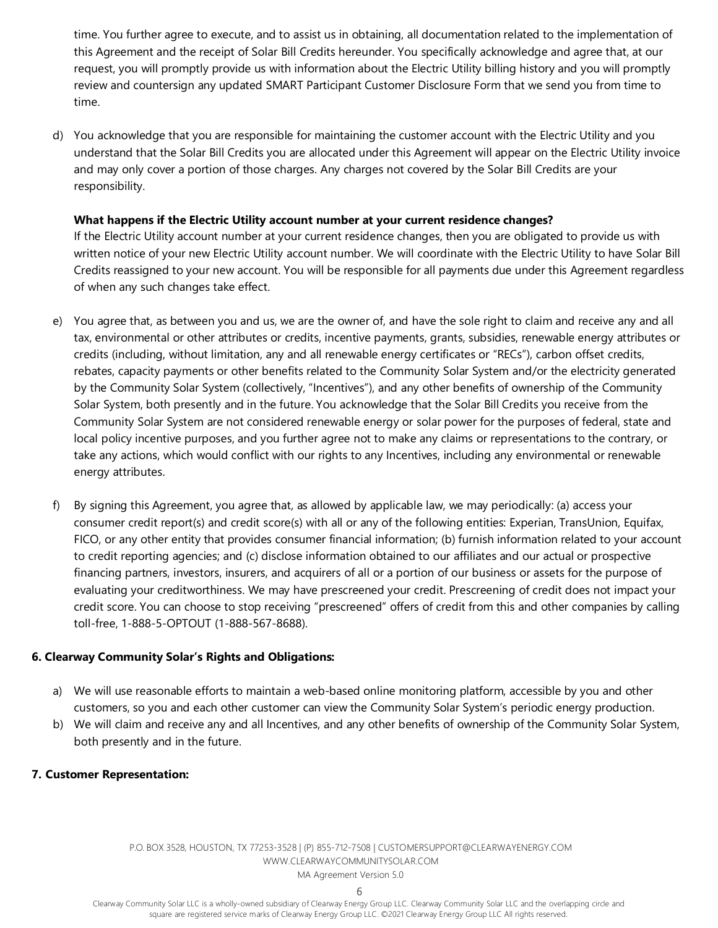time. You further agree to execute, and to assist us in obtaining, all documentation related to the implementation of this Agreement and the receipt of Solar Bill Credits hereunder. You specifically acknowledge and agree that, at our request, you will promptly provide us with information about the Electric Utility billing history and you will promptly review and countersign any updated SMART Participant Customer Disclosure Form that we send you from time to time.

d) You acknowledge that you are responsible for maintaining the customer account with the Electric Utility and you understand that the Solar Bill Credits you are allocated under this Agreement will appear on the Electric Utility invoice and may only cover a portion of those charges. Any charges not covered by the Solar Bill Credits are your responsibility.

#### **What happens if the Electric Utility account number at your current residence changes?**

If the Electric Utility account number at your current residence changes, then you are obligated to provide us with written notice of your new Electric Utility account number. We will coordinate with the Electric Utility to have Solar Bill Credits reassigned to your new account. You will be responsible for all payments due under this Agreement regardless of when any such changes take effect.

- e) You agree that, as between you and us, we are the owner of, and have the sole right to claim and receive any and all tax, environmental or other attributes or credits, incentive payments, grants, subsidies, renewable energy attributes or credits (including, without limitation, any and all renewable energy certificates or "RECs"), carbon offset credits, rebates, capacity payments or other benefits related to the Community Solar System and/or the electricity generated by the Community Solar System (collectively, "Incentives"), and any other benefits of ownership of the Community Solar System, both presently and in the future. You acknowledge that the Solar Bill Credits you receive from the Community Solar System are not considered renewable energy or solar power for the purposes of federal, state and local policy incentive purposes, and you further agree not to make any claims or representations to the contrary, or take any actions, which would conflict with our rights to any Incentives, including any environmental or renewable energy attributes.
- f) By signing this Agreement, you agree that, as allowed by applicable law, we may periodically: (a) access your consumer credit report(s) and credit score(s) with all or any of the following entities: Experian, TransUnion, Equifax, FICO, or any other entity that provides consumer financial information; (b) furnish information related to your account to credit reporting agencies; and (c) disclose information obtained to our affiliates and our actual or prospective financing partners, investors, insurers, and acquirers of all or a portion of our business or assets for the purpose of evaluating your creditworthiness. We may have prescreened your credit. Prescreening of credit does not impact your credit score. You can choose to stop receiving "prescreened" offers of credit from this and other companies by calling toll-free, 1-888-5-OPTOUT (1-888-567-8688).

#### **6. Clearway Community Solar's Rights and Obligations:**

- a) We will use reasonable efforts to maintain a web-based online monitoring platform, accessible by you and other customers, so you and each other customer can view the Community Solar System's periodic energy production.
- b) We will claim and receive any and all Incentives, and any other benefits of ownership of the Community Solar System, both presently and in the future.

#### **7. Customer Representation:**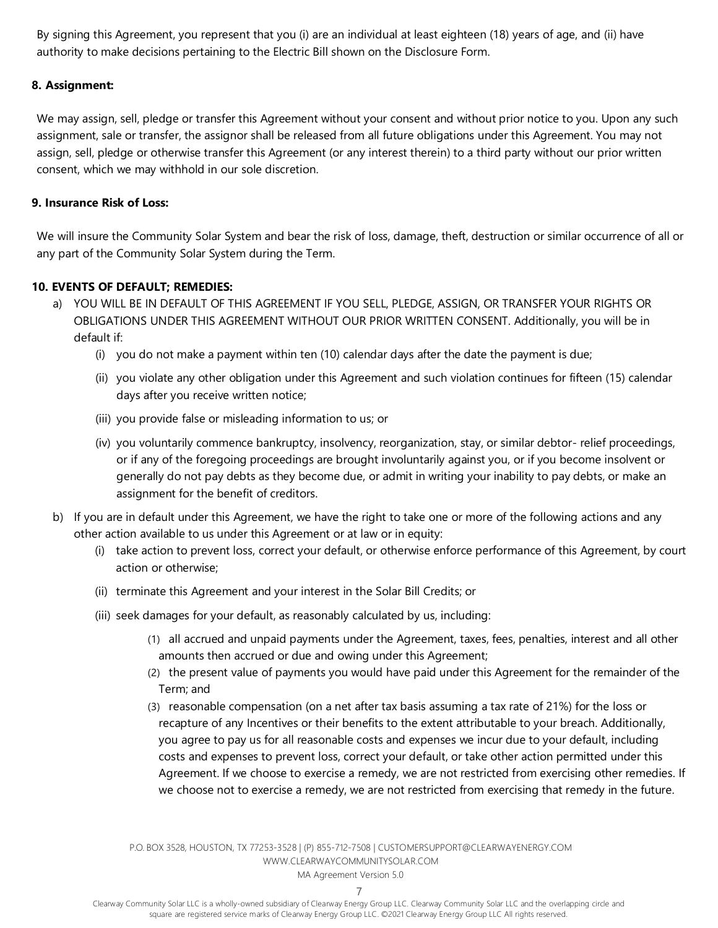By signing this Agreement, you represent that you (i) are an individual at least eighteen (18) years of age, and (ii) have authority to make decisions pertaining to the Electric Bill shown on the Disclosure Form.

#### **8. Assignment:**

We may assign, sell, pledge or transfer this Agreement without your consent and without prior notice to you. Upon any such assignment, sale or transfer, the assignor shall be released from all future obligations under this Agreement. You may not assign, sell, pledge or otherwise transfer this Agreement (or any interest therein) to a third party without our prior written consent, which we may withhold in our sole discretion.

#### **9. Insurance Risk of Loss:**

We will insure the Community Solar System and bear the risk of loss, damage, theft, destruction or similar occurrence of all or any part of the Community Solar System during the Term.

#### **10. EVENTS OF DEFAULT; REMEDIES:**

- a) YOU WILL BE IN DEFAULT OF THIS AGREEMENT IF YOU SELL, PLEDGE, ASSIGN, OR TRANSFER YOUR RIGHTS OR OBLIGATIONS UNDER THIS AGREEMENT WITHOUT OUR PRIOR WRITTEN CONSENT. Additionally, you will be in default if:
	- (i) you do not make a payment within ten (10) calendar days after the date the payment is due;
	- (ii) you violate any other obligation under this Agreement and such violation continues for fifteen (15) calendar days after you receive written notice;
	- (iii) you provide false or misleading information to us; or
	- (iv) you voluntarily commence bankruptcy, insolvency, reorganization, stay, or similar debtor- relief proceedings, or if any of the foregoing proceedings are brought involuntarily against you, or if you become insolvent or generally do not pay debts as they become due, or admit in writing your inability to pay debts, or make an assignment for the benefit of creditors.
- b) If you are in default under this Agreement, we have the right to take one or more of the following actions and any other action available to us under this Agreement or at law or in equity:
	- (i) take action to prevent loss, correct your default, or otherwise enforce performance of this Agreement, by court action or otherwise;
	- (ii) terminate this Agreement and your interest in the Solar Bill Credits; or
	- (iii) seek damages for your default, as reasonably calculated by us, including:
		- (1) all accrued and unpaid payments under the Agreement, taxes, fees, penalties, interest and all other amounts then accrued or due and owing under this Agreement;
		- (2) the present value of payments you would have paid under this Agreement for the remainder of the Term; and
		- (3) reasonable compensation (on a net after tax basis assuming a tax rate of 21%) for the loss or recapture of any Incentives or their benefits to the extent attributable to your breach. Additionally, you agree to pay us for all reasonable costs and expenses we incur due to your default, including costs and expenses to prevent loss, correct your default, or take other action permitted under this Agreement. If we choose to exercise a remedy, we are not restricted from exercising other remedies. If we choose not to exercise a remedy, we are not restricted from exercising that remedy in the future.

P.O. BOX 3528, HOUSTON, TX 77253-3528 | (P) 855-712-7508 [| CUSTOMERSUPPORT@CLEARWAYENERGY.COM](mailto:CUSTOMERSUPPORT@CLEARWAYENERGY.COM) [WWW.CLEARWAYCOMMUNITYSOLAR.COM](http://www.clearwaycommunitysolar.com/)

MA Agreement Version 5.0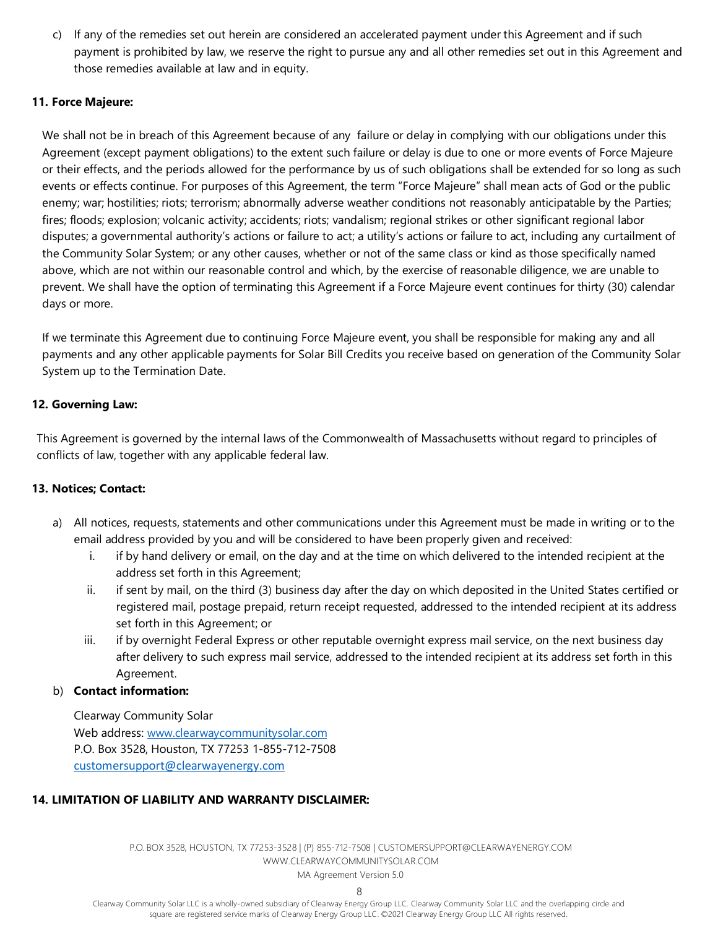c) If any of the remedies set out herein are considered an accelerated payment under this Agreement and if such payment is prohibited by law, we reserve the right to pursue any and all other remedies set out in this Agreement and those remedies available at law and in equity.

#### **11. Force Majeure:**

We shall not be in breach of this Agreement because of any failure or delay in complying with our obligations under this Agreement (except payment obligations) to the extent such failure or delay is due to one or more events of Force Majeure or their effects, and the periods allowed for the performance by us of such obligations shall be extended for so long as such events or effects continue. For purposes of this Agreement, the term "Force Majeure" shall mean acts of God or the public enemy; war; hostilities; riots; terrorism; abnormally adverse weather conditions not reasonably anticipatable by the Parties; fires; floods; explosion; volcanic activity; accidents; riots; vandalism; regional strikes or other significant regional labor disputes; a governmental authority's actions or failure to act; a utility's actions or failure to act, including any curtailment of the Community Solar System; or any other causes, whether or not of the same class or kind as those specifically named above, which are not within our reasonable control and which, by the exercise of reasonable diligence, we are unable to prevent. We shall have the option of terminating this Agreement if a Force Majeure event continues for thirty (30) calendar days or more.

If we terminate this Agreement due to continuing Force Majeure event, you shall be responsible for making any and all payments and any other applicable payments for Solar Bill Credits you receive based on generation of the Community Solar System up to the Termination Date.

### **12. Governing Law:**

This Agreement is governed by the internal laws of the Commonwealth of Massachusetts without regard to principles of conflicts of law, together with any applicable federal law.

#### **13. Notices; Contact:**

- a) All notices, requests, statements and other communications under this Agreement must be made in writing or to the email address provided by you and will be considered to have been properly given and received:
	- i. if by hand delivery or email, on the day and at the time on which delivered to the intended recipient at the address set forth in this Agreement;
	- ii. if sent by mail, on the third (3) business day after the day on which deposited in the United States certified or registered mail, postage prepaid, return receipt requested, addressed to the intended recipient at its address set forth in this Agreement; or
	- iii. if by overnight Federal Express or other reputable overnight express mail service, on the next business day after delivery to such express mail service, addressed to the intended recipient at its address set forth in this Agreement.

### b) **Contact information:**

Clearway Community Solar Web address: [www.clearwaycommunitysolar.com](http://www.clearwaycommunitysolar.com/) P.O. Box 3528, Houston, TX 77253 1-855-712-7508 customersupport@clearwayenergy.com

### **14. LIMITATION OF LIABILITY AND WARRANTY DISCLAIMER:**

P.O. BOX 3528, HOUSTON, TX 77253-3528 | (P) 855-712-7508 [| CUSTOMERSUPPORT@CLEARWAYENERGY.COM](mailto:CUSTOMERSUPPORT@CLEARWAYENERGY.COM) [WWW.CLEARWAYCOMMUNITYSOLAR.COM](http://www.clearwaycommunitysolar.com/) MA Agreement Version 5.0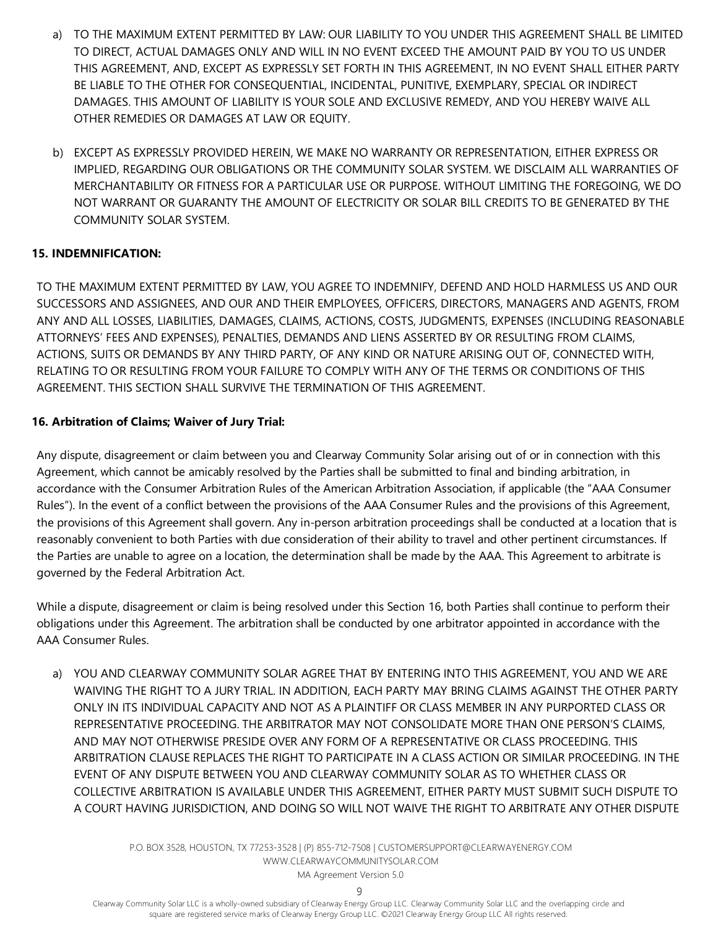- a) TO THE MAXIMUM EXTENT PERMITTED BY LAW: OUR LIABILITY TO YOU UNDER THIS AGREEMENT SHALL BE LIMITED TO DIRECT, ACTUAL DAMAGES ONLY AND WILL IN NO EVENT EXCEED THE AMOUNT PAID BY YOU TO US UNDER THIS AGREEMENT, AND, EXCEPT AS EXPRESSLY SET FORTH IN THIS AGREEMENT, IN NO EVENT SHALL EITHER PARTY BE LIABLE TO THE OTHER FOR CONSEQUENTIAL, INCIDENTAL, PUNITIVE, EXEMPLARY, SPECIAL OR INDIRECT DAMAGES. THIS AMOUNT OF LIABILITY IS YOUR SOLE AND EXCLUSIVE REMEDY, AND YOU HEREBY WAIVE ALL OTHER REMEDIES OR DAMAGES AT LAW OR EQUITY.
- b) EXCEPT AS EXPRESSLY PROVIDED HEREIN, WE MAKE NO WARRANTY OR REPRESENTATION, EITHER EXPRESS OR IMPLIED, REGARDING OUR OBLIGATIONS OR THE COMMUNITY SOLAR SYSTEM. WE DISCLAIM ALL WARRANTIES OF MERCHANTABILITY OR FITNESS FOR A PARTICULAR USE OR PURPOSE. WITHOUT LIMITING THE FOREGOING, WE DO NOT WARRANT OR GUARANTY THE AMOUNT OF ELECTRICITY OR SOLAR BILL CREDITS TO BE GENERATED BY THE COMMUNITY SOLAR SYSTEM.

### **15. INDEMNIFICATION:**

TO THE MAXIMUM EXTENT PERMITTED BY LAW, YOU AGREE TO INDEMNIFY, DEFEND AND HOLD HARMLESS US AND OUR SUCCESSORS AND ASSIGNEES, AND OUR AND THEIR EMPLOYEES, OFFICERS, DIRECTORS, MANAGERS AND AGENTS, FROM ANY AND ALL LOSSES, LIABILITIES, DAMAGES, CLAIMS, ACTIONS, COSTS, JUDGMENTS, EXPENSES (INCLUDING REASONABLE ATTORNEYS' FEES AND EXPENSES), PENALTIES, DEMANDS AND LIENS ASSERTED BY OR RESULTING FROM CLAIMS, ACTIONS, SUITS OR DEMANDS BY ANY THIRD PARTY, OF ANY KIND OR NATURE ARISING OUT OF, CONNECTED WITH, RELATING TO OR RESULTING FROM YOUR FAILURE TO COMPLY WITH ANY OF THE TERMS OR CONDITIONS OF THIS AGREEMENT. THIS SECTION SHALL SURVIVE THE TERMINATION OF THIS AGREEMENT.

#### **16. Arbitration of Claims; Waiver of Jury Trial:**

Any dispute, disagreement or claim between you and Clearway Community Solar arising out of or in connection with this Agreement, which cannot be amicably resolved by the Parties shall be submitted to final and binding arbitration, in accordance with the Consumer Arbitration Rules of the American Arbitration Association, if applicable (the "AAA Consumer Rules"). In the event of a conflict between the provisions of the AAA Consumer Rules and the provisions of this Agreement, the provisions of this Agreement shall govern. Any in-person arbitration proceedings shall be conducted at a location that is reasonably convenient to both Parties with due consideration of their ability to travel and other pertinent circumstances. If the Parties are unable to agree on a location, the determination shall be made by the AAA. This Agreement to arbitrate is governed by the Federal Arbitration Act.

While a dispute, disagreement or claim is being resolved under this Section 16, both Parties shall continue to perform their obligations under this Agreement. The arbitration shall be conducted by one arbitrator appointed in accordance with the AAA Consumer Rules.

a) YOU AND CLEARWAY COMMUNITY SOLAR AGREE THAT BY ENTERING INTO THIS AGREEMENT, YOU AND WE ARE WAIVING THE RIGHT TO A JURY TRIAL. IN ADDITION, EACH PARTY MAY BRING CLAIMS AGAINST THE OTHER PARTY ONLY IN ITS INDIVIDUAL CAPACITY AND NOT AS A PLAINTIFF OR CLASS MEMBER IN ANY PURPORTED CLASS OR REPRESENTATIVE PROCEEDING. THE ARBITRATOR MAY NOT CONSOLIDATE MORE THAN ONE PERSON'S CLAIMS, AND MAY NOT OTHERWISE PRESIDE OVER ANY FORM OF A REPRESENTATIVE OR CLASS PROCEEDING. THIS ARBITRATION CLAUSE REPLACES THE RIGHT TO PARTICIPATE IN A CLASS ACTION OR SIMILAR PROCEEDING. IN THE EVENT OF ANY DISPUTE BETWEEN YOU AND CLEARWAY COMMUNITY SOLAR AS TO WHETHER CLASS OR COLLECTIVE ARBITRATION IS AVAILABLE UNDER THIS AGREEMENT, EITHER PARTY MUST SUBMIT SUCH DISPUTE TO A COURT HAVING JURISDICTION, AND DOING SO WILL NOT WAIVE THE RIGHT TO ARBITRATE ANY OTHER DISPUTE

> P.O. BOX 3528, HOUSTON, TX 77253-3528 | (P) 855-712-7508 [| CUSTOMERSUPPORT@CLEARWAYENERGY.COM](mailto:CUSTOMERSUPPORT@CLEARWAYENERGY.COM) [WWW.CLEARWAYCOMMUNITYSOLAR.COM](http://www.clearwaycommunitysolar.com/) MA Agreement Version 5.0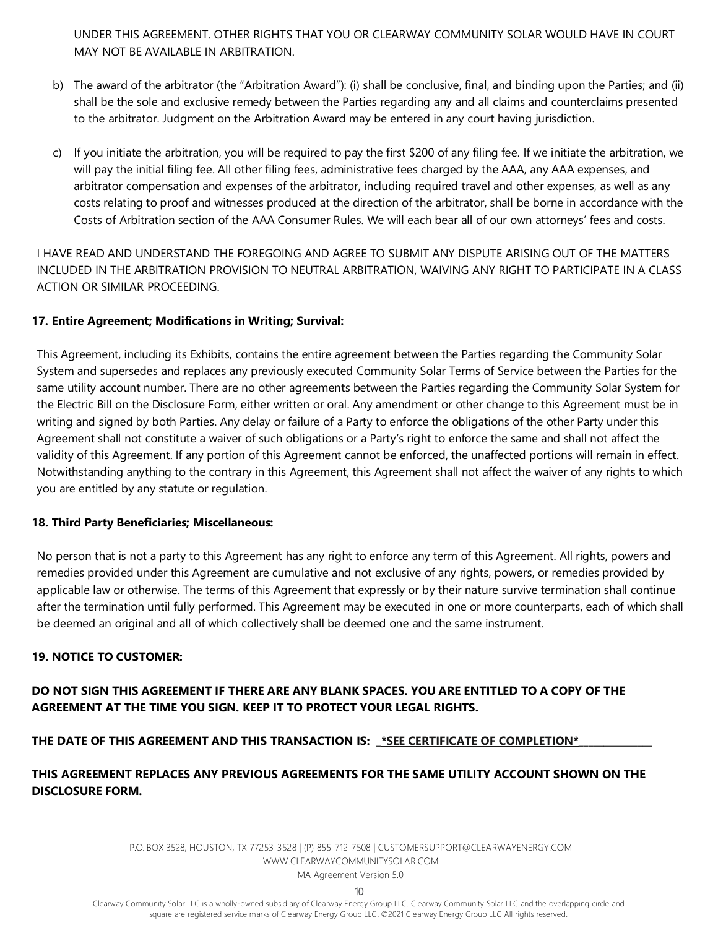UNDER THIS AGREEMENT. OTHER RIGHTS THAT YOU OR CLEARWAY COMMUNITY SOLAR WOULD HAVE IN COURT MAY NOT BE AVAILABLE IN ARBITRATION.

- b) The award of the arbitrator (the "Arbitration Award"): (i) shall be conclusive, final, and binding upon the Parties; and (ii) shall be the sole and exclusive remedy between the Parties regarding any and all claims and counterclaims presented to the arbitrator. Judgment on the Arbitration Award may be entered in any court having jurisdiction.
- c) If you initiate the arbitration, you will be required to pay the first \$200 of any filing fee. If we initiate the arbitration, we will pay the initial filing fee. All other filing fees, administrative fees charged by the AAA, any AAA expenses, and arbitrator compensation and expenses of the arbitrator, including required travel and other expenses, as well as any costs relating to proof and witnesses produced at the direction of the arbitrator, shall be borne in accordance with the Costs of Arbitration section of the AAA Consumer Rules. We will each bear all of our own attorneys' fees and costs.

I HAVE READ AND UNDERSTAND THE FOREGOING AND AGREE TO SUBMIT ANY DISPUTE ARISING OUT OF THE MATTERS INCLUDED IN THE ARBITRATION PROVISION TO NEUTRAL ARBITRATION, WAIVING ANY RIGHT TO PARTICIPATE IN A CLASS ACTION OR SIMILAR PROCEEDING.

### **17. Entire Agreement; Modifications in Writing; Survival:**

This Agreement, including its Exhibits, contains the entire agreement between the Parties regarding the Community Solar System and supersedes and replaces any previously executed Community Solar Terms of Service between the Parties for the same utility account number. There are no other agreements between the Parties regarding the Community Solar System for the Electric Bill on the Disclosure Form, either written or oral. Any amendment or other change to this Agreement must be in writing and signed by both Parties. Any delay or failure of a Party to enforce the obligations of the other Party under this Agreement shall not constitute a waiver of such obligations or a Party's right to enforce the same and shall not affect the validity of this Agreement. If any portion of this Agreement cannot be enforced, the unaffected portions will remain in effect. Notwithstanding anything to the contrary in this Agreement, this Agreement shall not affect the waiver of any rights to which you are entitled by any statute or regulation.

#### **18. Third Party Beneficiaries; Miscellaneous:**

No person that is not a party to this Agreement has any right to enforce any term of this Agreement. All rights, powers and remedies provided under this Agreement are cumulative and not exclusive of any rights, powers, or remedies provided by applicable law or otherwise. The terms of this Agreement that expressly or by their nature survive termination shall continue after the termination until fully performed. This Agreement may be executed in one or more counterparts, each of which shall be deemed an original and all of which collectively shall be deemed one and the same instrument.

### **19. NOTICE TO CUSTOMER:**

# **DO NOT SIGN THIS AGREEMENT IF THERE ARE ANY BLANK SPACES. YOU ARE ENTITLED TO A COPY OF THE AGREEMENT AT THE TIME YOU SIGN. KEEP IT TO PROTECT YOUR LEGAL RIGHTS.**

### THE DATE OF THIS AGREEMENT AND THIS TRANSACTION IS: \_\*SEE CERTIFICATE OF COMPLETION\*

# **THIS AGREEMENT REPLACES ANY PREVIOUS AGREEMENTS FOR THE SAME UTILITY ACCOUNT SHOWN ON THE DISCLOSURE FORM.**

P.O. BOX 3528, HOUSTON, TX 77253-3528 | (P) 855-712-7508 [| CUSTOMERSUPPORT@CLEARWAYENERGY.COM](mailto:CUSTOMERSUPPORT@CLEARWAYENERGY.COM) [WWW.CLEARWAYCOMMUNITYSOLAR.COM](http://www.clearwaycommunitysolar.com/) MA Agreement Version 5.0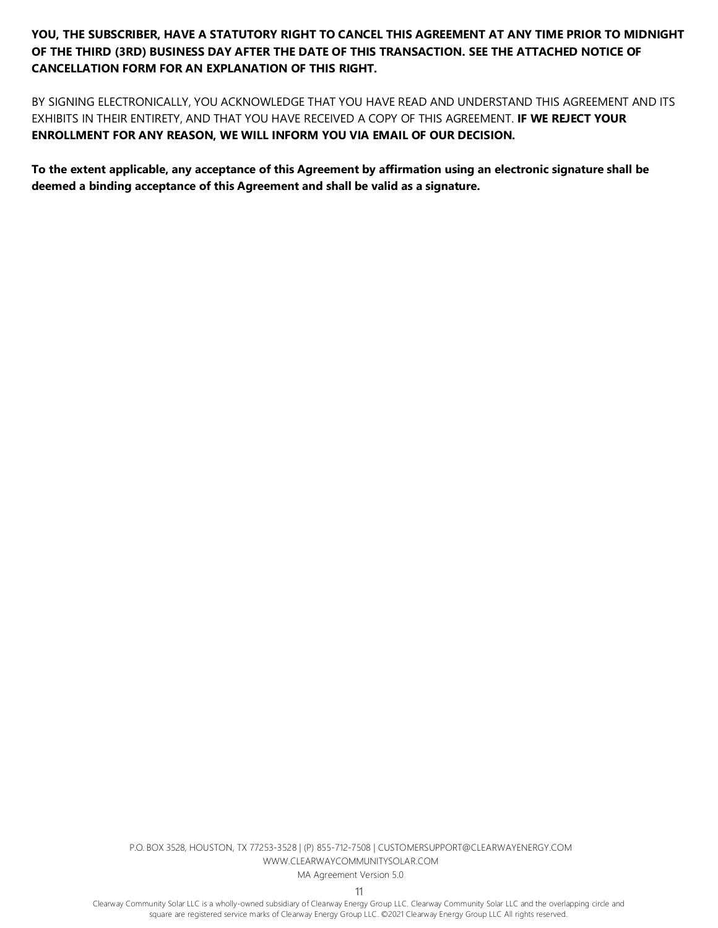**YOU, THE SUBSCRIBER, HAVE A STATUTORY RIGHT TO CANCEL THIS AGREEMENT AT ANY TIME PRIOR TO MIDNIGHT OF THE THIRD (3RD) BUSINESS DAY AFTER THE DATE OF THIS TRANSACTION. SEE THE ATTACHED NOTICE OF CANCELLATION FORM FOR AN EXPLANATION OF THIS RIGHT.**

BY SIGNING ELECTRONICALLY, YOU ACKNOWLEDGE THAT YOU HAVE READ AND UNDERSTAND THIS AGREEMENT AND ITS EXHIBITS IN THEIR ENTIRETY, AND THAT YOU HAVE RECEIVED A COPY OF THIS AGREEMENT. **IF WE REJECT YOUR ENROLLMENT FOR ANY REASON, WE WILL INFORM YOU VIA EMAIL OF OUR DECISION.**

**To the extent applicable, any acceptance of this Agreement by affirmation using an electronic signature shall be deemed a binding acceptance of this Agreement and shall be valid as a signature.**

> P.O. BOX 3528, HOUSTON, TX 77253-3528 | (P) 855-712-7508 [| CUSTOMERSUPPORT@CLEARWAYENERGY.COM](mailto:CUSTOMERSUPPORT@CLEARWAYENERGY.COM) [WWW.CLEARWAYCOMMUNITYSOLAR.COM](http://www.clearwaycommunitysolar.com/) MA Agreement Version 5.0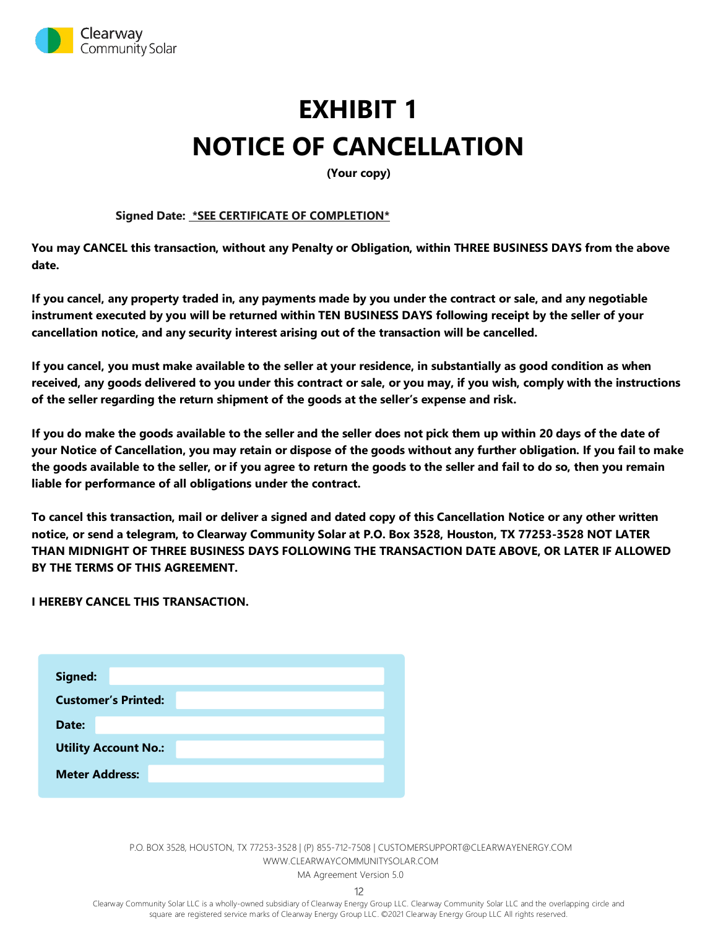

# **EXHIBIT 1 NOTICE OF CANCELLATION**

**(Your copy)**

#### **Signed Date: \*SEE CERTIFICATE OF COMPLETION\***

**You may CANCEL this transaction, without any Penalty or Obligation, within THREE BUSINESS DAYS from the above date.** 

**If you cancel, any property traded in, any payments made by you under the contract or sale, and any negotiable instrument executed by you will be returned within TEN BUSINESS DAYS following receipt by the seller of your cancellation notice, and any security interest arising out of the transaction will be cancelled.** 

**If you cancel, you must make available to the seller at your residence, in substantially as good condition as when received, any goods delivered to you under this contract or sale, or you may, if you wish, comply with the instructions of the seller regarding the return shipment of the goods at the seller's expense and risk.**

**If you do make the goods available to the seller and the seller does not pick them up within 20 days of the date of your Notice of Cancellation, you may retain or dispose of the goods without any further obligation. If you fail to make the goods available to the seller, or if you agree to return the goods to the seller and fail to do so, then you remain liable for performance of all obligations under the contract.**

**To cancel this transaction, mail or deliver a signed and dated copy of this Cancellation Notice or any other written notice, or send a telegram, to Clearway Community Solar at P.O. Box 3528, Houston, TX 77253-3528 NOT LATER THAN MIDNIGHT OF THREE BUSINESS DAYS FOLLOWING THE TRANSACTION DATE ABOVE, OR LATER IF ALLOWED BY THE TERMS OF THIS AGREEMENT.**

**I HEREBY CANCEL THIS TRANSACTION.**

| Signed:                     |  |  |  |  |  |
|-----------------------------|--|--|--|--|--|
| <b>Customer's Printed:</b>  |  |  |  |  |  |
| Date:                       |  |  |  |  |  |
| <b>Utility Account No.:</b> |  |  |  |  |  |
| <b>Meter Address:</b>       |  |  |  |  |  |

P.O. BOX 3528, HOUSTON, TX 77253-3528 | (P) 855-712-7508 [| CUSTOMERSUPPORT@CLEARWAYENERGY.COM](mailto:CUSTOMERSUPPORT@CLEARWAYENERGY.COM) [WWW.CLEARWAYCOMMUNITYSOLAR.COM](http://www.clearwaycommunitysolar.com/) MA Agreement Version 5.0

12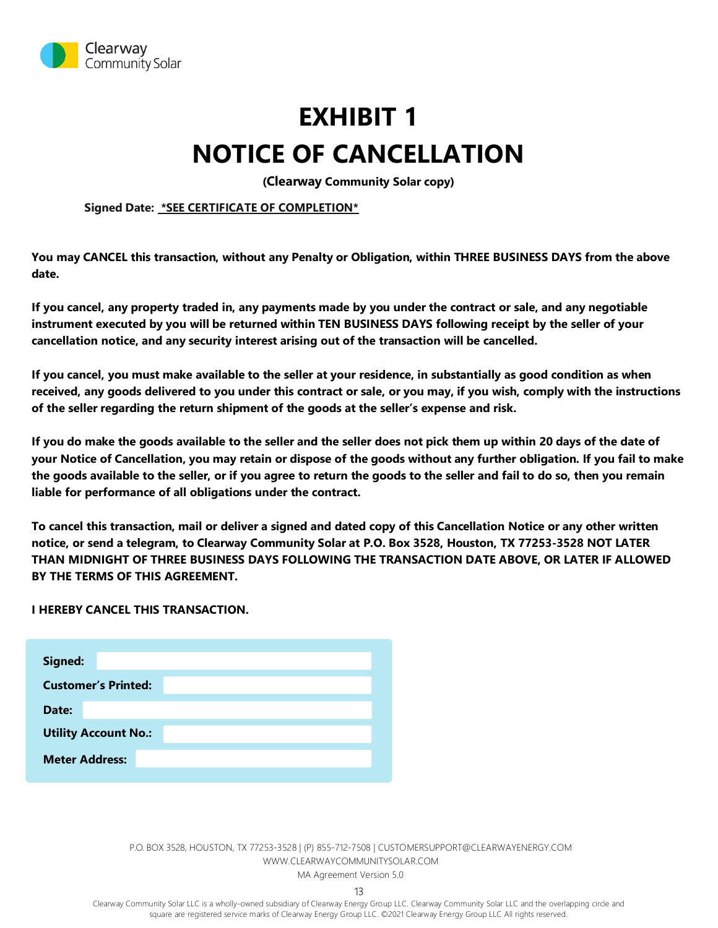

# **EXHIBIT 1 NOTICE OF CANCELLATION**

**(Clearway Community Solar copy)**

**Signed Date: \*SEE CERTIFICATE OF COMPLETION\***

**You may CANCEL this transaction, without any Penalty or Obligation, within THREE BUSINESS DAYS from the above date.** 

**If you cancel, any property traded in, any payments made by you under the contract or sale, and any negotiable instrument executed by you will be returned within TEN BUSINESS DAYS following receipt by the seller of your cancellation notice, and any security interest arising out of the transaction will be cancelled.** 

**If you cancel, you must make available to the seller at your residence, in substantially as good condition as when received, any goods delivered to you under this contract or sale, or you may, if you wish, comply with the instructions of the seller regarding the return shipment of the goods at the seller's expense and risk.**

**If you do make the goods available to the seller and the seller does not pick them up within 20 days of the date of your Notice of Cancellation, you may retain or dispose of the goods without any further obligation. If you fail to make the goods available to the seller, or if you agree to return the goods to the seller and fail to do so, then you remain liable for performance of all obligations under the contract.**

**To cancel this transaction, mail or deliver a signed and dated copy of this Cancellation Notice or any other written notice, or send a telegram, to Clearway Community Solar at P.O. Box 3528, Houston, TX 77253-3528 NOT LATER THAN MIDNIGHT OF THREE BUSINESS DAYS FOLLOWING THE TRANSACTION DATE ABOVE, OR LATER IF ALLOWED BY THE TERMS OF THIS AGREEMENT.**

**I HEREBY CANCEL THIS TRANSACTION.**

| Signed:                     |                            |  |  |  |  |
|-----------------------------|----------------------------|--|--|--|--|
|                             | <b>Customer's Printed:</b> |  |  |  |  |
| Date:                       |                            |  |  |  |  |
| <b>Utility Account No.:</b> |                            |  |  |  |  |
| <b>Meter Address:</b>       |                            |  |  |  |  |

P.O. BOX 3528, HOUSTON, TX 77253-3528 | (P) 855-712-7508 [| CUSTOMERSUPPORT@CLEARWAYENERGY.COM](mailto:CUSTOMERSUPPORT@CLEARWAYENERGY.COM) [WWW.CLEARWAYCOMMUNITYSOLAR.COM](http://www.clearwaycommunitysolar.com/) MA Agreement Version 5.0

13